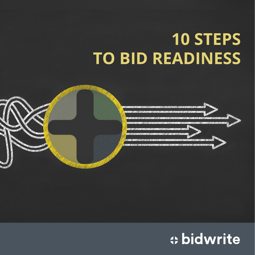# **10 STEPS TO BID READINESS**



## # bidwrite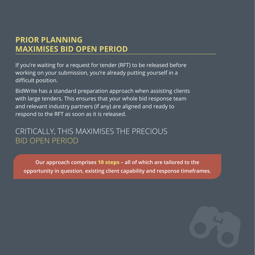### **PRIOR PLANNING MAXIMISES BID OPEN PERIOD**

If you're waiting for a request for tender (RFT) to be released before working on your submission, you're already putting yourself in a difficult position.

BidWrite has a standard preparation approach when assisting clients with large tenders. This ensures that your whole bid response team and relevant industry partners (if any) are aligned and ready to respond to the RFT as soon as it is released.

### CRITICALLY, THIS MAXIMISES THE PRECIOUS BID OPEN PERIOD

**Our approach comprises 10 steps – all of which are tailored to the [opportunity in question, existing client capability and response timeframes.](#page-2-0)** 

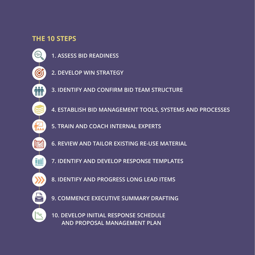### <span id="page-2-0"></span>**THE 10 STEPS**

EM

 $\boldsymbol{C}$ 

酩

<u>ini</u>

 $\square$ 

- **[1. ASSESS BID READINESS](#page-3-0)** 
	- **[2. DEVELOP WIN STRATEGY](#page-4-0)**
- **[3. IDENTIFY AND CONFIRM BID TEAM STRUCTURE](#page-5-0)**
- **[4. ESTABLISH BID MANAGEMENT TOOLS, SYSTEMS AND PROCESSES](#page-7-0)**
- **[5. TRAIN AND COACH INTERNAL EXPERTS](#page-8-0)**
- **[6. REVIEW AND TAILOR EXISTING RE-USE MATERIAL](#page-9-0)**
- **[7. IDENTIFY AND DEVELOP RESPONSE TEMPLATES](#page-10-0)**
- **[8. IDENTIFY AND PROGRESS LONG LEAD ITEMS](#page-11-0)**
- **[9. COMMENCE EXECUTIVE SUMMARY DRAFTING](#page-12-0)**
- **[10. DEVELOP INITIAL RESPONSE SCHEDULE](#page-13-0)  AND PROPOSAL MANAGEMENT PLAN**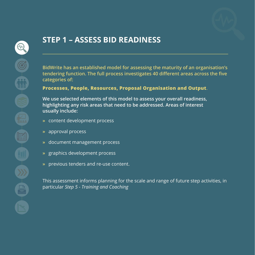

### <span id="page-3-0"></span>**STEP 1 – ASSESS BID READINESS**

**BidWrite has an established model for assessing the maturity of an organisation's tendering function. The full process investigates 40 different areas across the five categories of:**

#### **Processes, People, Resources, Proposal Organisation and Output**.

**We use selected elements of this model to assess your overall readiness, highlighting any risk areas that need to be addressed. Areas of interest usually include:**

- **»** content development process
- **»** approval process
- **»** document management process
- **»** graphics development process
- **»** previous tenders and re-use content.

This assessment informs planning for the scale and range of future step activities, in particular *[Step 5 - Training and Coaching](#page-8-0)*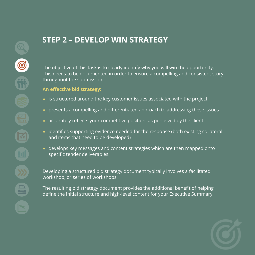### <span id="page-4-0"></span>**STEP 2 – DEVELOP WIN STRATEGY**

The objective of this task is to clearly identify why you will win the opportunity. This needs to be documented in order to ensure a compelling and consistent story throughout the submission.

#### **An effective bid strategy:**

- **»** is structured around the key customer issues associated with the project
- **»** presents a compelling and differentiated approach to addressing these issues
- **»** accurately reflects your competitive position, as perceived by the client
- **»** identifies supporting evidence needed for the response (both existing collateral and items that need to be developed)
- **»** develops key messages and content strategies which are then mapped onto specific tender deliverables.

Developing a structured bid strategy document typically involves a facilitated workshop, or series of workshops.

The resulting bid strategy document provides the additional benefit of helping define the initial structure and high-level content for your Executive Summary.

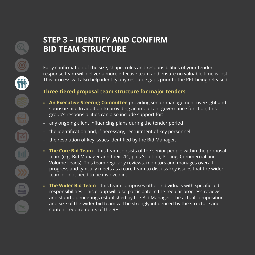### <span id="page-5-0"></span>**STEP 3 – IDENTIFY AND CONFIRM BID TEAM STRUCTURE**

Early confirmation of the size, shape, roles and responsibilities of your tender response team will deliver a more effective team and ensure no valuable time is lost. This process will also help identify any resource gaps prior to the RFT being released.

#### **Three-tiered proposal team structure for major tenders**

- **» An Executive Steering Committee** providing senior management oversight and sponsorship. In addition to providing an important governance function, this group's responsibilities can also include support for:
- any ongoing client influencing plans during the tender period
- the identification and, if necessary, recruitment of key personnel
- the resolution of key issues identified by the Bid Manager.
- **» The Core Bid Team**  this team consists of the senior people within the proposal team (e.g. Bid Manager and their 2IC, plus Solution, Pricing, Commercial and Volume Leads). This team regularly reviews, monitors and manages overall progress and typically meets as a core team to discuss key issues that the wider team do not need to be involved in.
- **» The Wider Bid Team** this team comprises other individuals with specific bid responsibilities. This group will also participate in the regular progress reviews and stand-up meetings established by the Bid Manager. The actual composition and size of the wider bid team will be strongly influenced by the structure and content requirements of the RFT.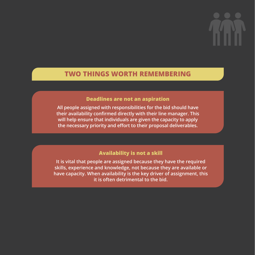#### **TWO THINGS WORTH REMEMBERING**

#### **Deadlines are not an aspiration**

**All people assigned with responsibilities for the bid should have their availability confirmed directly with their line manager. This will help ensure that individuals are given the capacity to apply the necessary priority and effort to their proposal deliverables.**

#### **Availability is not a skill**

**It is vital that people are assigned because they have the required skills, experience and knowledge, not because they are available or have capacity. When availability is the key driver of assignment, this it is often detrimental to the bid.**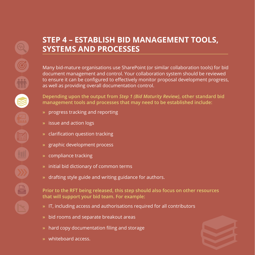### <span id="page-7-0"></span>**STEP 4 – ESTABLISH BID MANAGEMENT TOOLS, SYSTEMS AND PROCESSES**

Many bid-mature organisations use SharePoint (or similar collaboration tools) for bid document management and control. Your collaboration system should be reviewed to ensure it can be configured to effectively monitor proposal development progress, as well as providing overall documentation control.

**Depending upon the output from** *[Step 1 \(Bid Maturity Review\)](#page-3-0)***, other standard bid management tools and processes that may need to be established include:**

- **»** progress tracking and reporting
- **»** issue and action logs
- **»** clarification question tracking
- **»** graphic development process
- **»** compliance tracking
- **»** initial bid dictionary of common terms
- **»** drafting style guide and writing guidance for authors.

**Prior to the RFT being released, this step should also focus on other resources that will support your bid team. For example:**

- **»** IT, including access and authorisations required for all contributors
- **»** bid rooms and separate breakout areas
- **»** hard copy documentation filing and storage
- **»** whiteboard access.

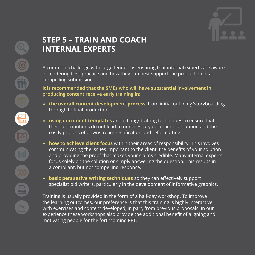

## <span id="page-8-0"></span>**STEP 5 – TRAIN AND COACH INTERNAL EXPERTS**

A common challenge with large tenders is ensuring that internal experts are aware of tendering best-practice and how they can best support the production of a compelling submission.

**It is recommended that the SMEs who will have substantial involvement in producing content receive early training in:**

- **» the overall content development process**, from initial outlining/storyboarding through to final production.
- **» using document templates** and editing/drafting techniques to ensure that their contributions do not lead to unnecessary document corruption and the costly process of downstream rectification and reformatting.
- **» how to achieve client focus** within their areas of responsibility. This involves communicating the issues important to the client, the benefits of your solution and providing the proof that makes your claims credible. Many internal experts focus solely on the solution or simply answering the question. This results in a compliant, but not compelling response.
- **» basic persuasive writing techniques** so they can effectively support specialist bid writers, particularly in the development of informative graphics.

Training is usually provided in the form of a half-day workshop. To improve the learning outcomes, our preference is that this training is highly interactive with exercises and content developed, in part, from previous proposals. In our experience these workshops also provide the additional benefit of aligning and motivating people for the forthcoming RFT.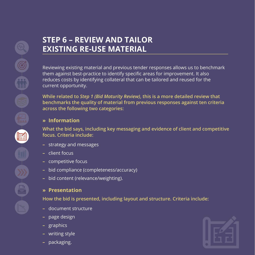### <span id="page-9-0"></span>**STEP 6 – REVIEW AND TAILOR EXISTING RE-USE MATERIAL**

Reviewing existing material and previous tender responses allows us to benchmark them against best-practice to identify specific areas for improvement. It also reduces costs by identifying collateral that can be tailored and reused for the current opportunity.

**While related to** *[Step 1 \(Bid Maturity Review\)](#page-3-0)***, this is a more detailed review that benchmarks the quality of material from previous responses against ten criteria across the following two categories:**

#### **» Information**

**What the bid says, including key messaging and evidence of client and competitive focus. Criteria include:**

- **–** strategy and messages
- **–** client focus
- **–** competitive focus
- **–** bid compliance (completeness/accuracy)
- **–** bid content (relevance/weighting).

#### **» Presentation**

**How the bid is presented, including layout and structure. Criteria include:**

- **–** document structure
- **–** page design
- **–** graphics
- **–** writing style
- **–** packaging.

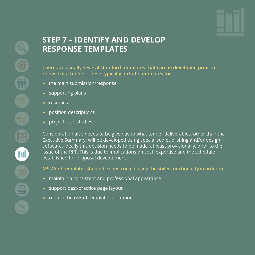

### <span id="page-10-0"></span>**STEP 7 – IDENTIFY AND DEVELOP RESPONSE TEMPLATES**

**There are usually several standard templates that can be developed prior to release of a tender. These typically include templates for:**

- **»** the main submission/response
- **»** supporting plans
- **»** resumés
- **»** position descriptions
- **»** project case studies.

Consideration also needs to be given as to what tender deliverables, other than the Executive Summary, will be developed using specialised publishing and/or design software. Ideally this decision needs to be made, at least provisionally, prior to the issue of the RFT. This is due to implications on cost, expertise and the schedule established for proposal development.

**MS Word templates should be constructed using the styles functionality in order to:**

- **»** maintain a consistent and professional appearance
- **»** support best-practice page layout
- **»** reduce the risk of template corruption.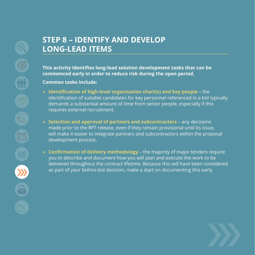### <span id="page-11-0"></span>**STEP 8 – IDENTIFY AND DEVELOP LONG-LEAD ITEMS**

**This activity identifies long-lead solution development tasks that can be commenced early in order to reduce risk during the open period.** 

**Common tasks include:**

- **» Identification of high-level organisation chart(s) and key people** the identification of suitable candidates for key personnel referenced in a bid typically demands a substantial amount of time from senior people, especially if this requires external recruitment.
- **» Selection and approval of partners and subcontractors** any decisions made prior to the RFT release, even if they remain provisional until its issue, will make it easier to integrate partners and subcontractors within the proposal development process.
- **» Confirmation of delivery methodology**  the majority of major tenders require you to describe and document how you will plan and execute the work to be delivered throughout the contract lifetime. Because this will have been considered as part of your bid/no-bid decision, make a start on documenting this early.

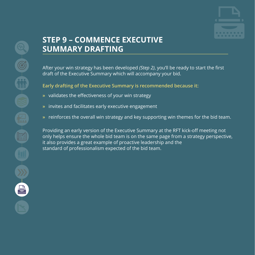

### <span id="page-12-0"></span>**STEP 9 – COMMENCE EXECUTIVE SUMMARY DRAFTING**

After your win strategy has been developed *[\(Step 2\)](#page-4-0)*, you'll be ready to start the first draft of the Executive Summary which will accompany your bid.

**Early drafting of the Executive Summary is recommended because it:**

- **»** validates the effectiveness of your win strategy
- **»** invites and facilitates early executive engagement
- **»** reinforces the overall win strategy and key supporting win themes for the bid team.

Providing an early version of the Executive Summary at the RFT kick-off meeting not only helps ensure the whole bid team is on the same page from a strategy perspective, it also provides a great example of proactive leadership and the standard of professionalism expected of the bid team.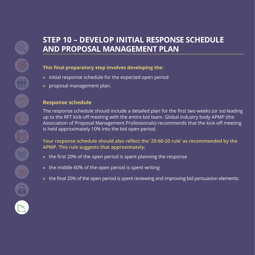### <span id="page-13-0"></span>**STEP 10 – DEVELOP INITIAL RESPONSE SCHEDULE AND PROPOSAL MANAGEMENT PLAN**

#### **This final preparatory step involves developing the:**

- **»** initial response schedule for the expected open period
- **»** proposal management plan.

#### **Response schedule**

The response schedule should include a detailed plan for the first two weeks (or so) leading up to the RFT kick-off meeting with the entire bid team. Global industry body APMP (the Association of Proposal Management Professionals) recommends that the kick-off meeting is held approximately 10% into the bid open period.

**Your response schedule should also reflect the '20-60-20 rule' as recommended by the APMP. This rule suggests that approximately:**

- **»** the first 20% of the open period is spent planning the response
- **»** the middle 60% of the open period is spent writing
- **»** the final 20% of the open period is spent reviewing and improving bid persuasion elements.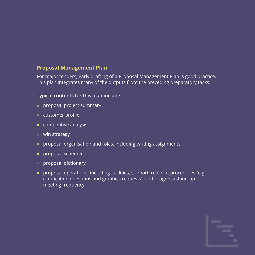#### After your win strategy has been developed (Step 2), you'll be ready to start the first **Proposal Management Plan**

For major tenders, early drafting of a Proposal Management Plan is good practice. This plan integrates many of the outputs from the preceding preparatory tasks.<br>'

#### ${\sf Typical\ contents\ for\ this\ planarrows {\sf d}}$

- **»** invites and project summary executive engagement of  $\mathbb{R}$
- **COSCOTTET DIVITE »** customer profile
- **»** competitive analysis
- only helps ensure the whole bid team is on the same page from a strategy perspective, who is on the same page f **»** win strategy
- » proposal organisation and roles, including writing assignments
- **»** proposal schedule
- **»** proposal dictionary
- **»** proposal operations, including facilities, support, relevant procedures (e.g. clarification questions and graphics requests), and progress/stand-up meeting frequency.